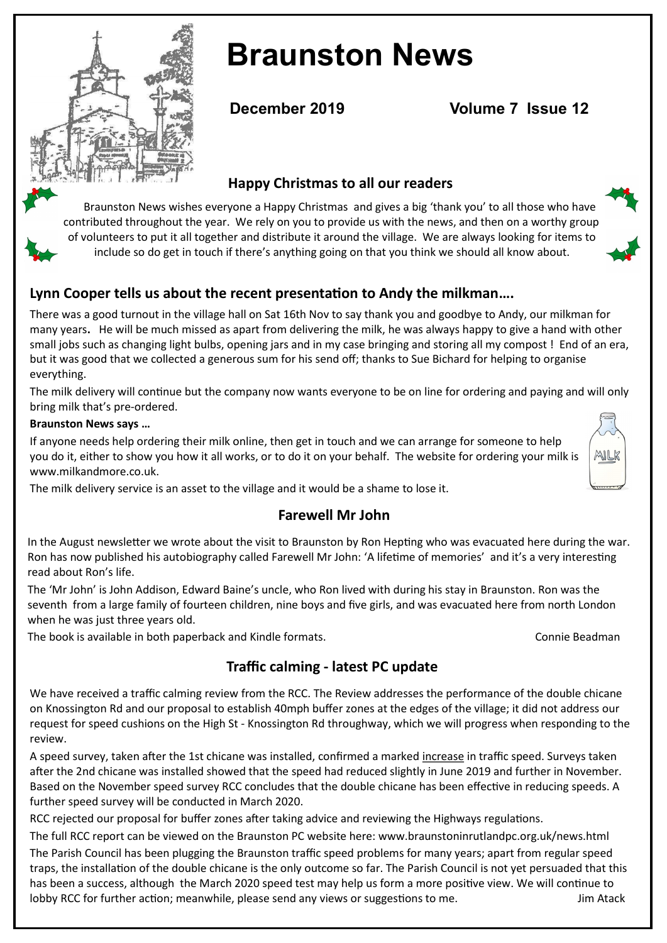

# **Braunston News**

**December 2019 Volume 7 Issue 12** 

## **Happy Christmas to all our readers**

 Braunston News wishes everyone a Happy Christmas and gives a big 'thank you' to all those who have contributed throughout the year. We rely on you to provide us with the news, and then on a worthy group of volunteers to put it all together and distribute it around the village. We are always looking for items to include so do get in touch if there's anything going on that you think we should all know about.

# **Lynn Cooper tells us about the recent presentation to Andy the milkman….**

There was a good turnout in the village hall on Sat 16th Nov to say thank you and goodbye to Andy, our milkman for many years**.** He will be much missed as apart from delivering the milk, he was always happy to give a hand with other small jobs such as changing light bulbs, opening jars and in my case bringing and storing all my compost ! End of an era, but it was good that we collected a generous sum for his send off; thanks to Sue Bichard for helping to organise everything.

The milk delivery will continue but the company now wants everyone to be on line for ordering and paying and will only bring milk that's pre-ordered.

#### **Braunston News says …**

If anyone needs help ordering their milk online, then get in touch and we can arrange for someone to help you do it, either to show you how it all works, or to do it on your behalf. The website for ordering your milk is www.milkandmore.co.uk.



### **Farewell Mr John**

In the August newsletter we wrote about the visit to Braunston by Ron Hepting who was evacuated here during the war. Ron has now published his autobiography called Farewell Mr John: 'A lifetime of memories' and it's a very interesting read about Ron's life.

The 'Mr John' is John Addison, Edward Baine's uncle, who Ron lived with during his stay in Braunston. Ron was the seventh from a large family of fourteen children, nine boys and five girls, and was evacuated here from north London when he was just three years old.

The book is available in both paperback and Kindle formats. Connie Beadman

MILK

# **Traffic calming - latest PC update**

We have received a traffic calming review from the RCC. The Review addresses the performance of the double chicane on Knossington Rd and our proposal to establish 40mph buffer zones at the edges of the village; it did not address our request for speed cushions on the High St - Knossington Rd throughway, which we will progress when responding to the review.

A speed survey, taken after the 1st chicane was installed, confirmed a marked increase in traffic speed. Surveys taken after the 2nd chicane was installed showed that the speed had reduced slightly in June 2019 and further in November. Based on the November speed survey RCC concludes that the double chicane has been effective in reducing speeds. A further speed survey will be conducted in March 2020.

RCC rejected our proposal for buffer zones after taking advice and reviewing the Highways regulations.

The full RCC report can be viewed on the Braunston PC website here: www.braunstoninrutlandpc.org.uk/news.html

The Parish Council has been plugging the Braunston traffic speed problems for many years; apart from regular speed traps, the installation of the double chicane is the only outcome so far. The Parish Council is not yet persuaded that this has been a success, although the March 2020 speed test may help us form a more positive view. We will continue to lobby RCC for further action; meanwhile, please send any views or suggestions to me. Jim Atack